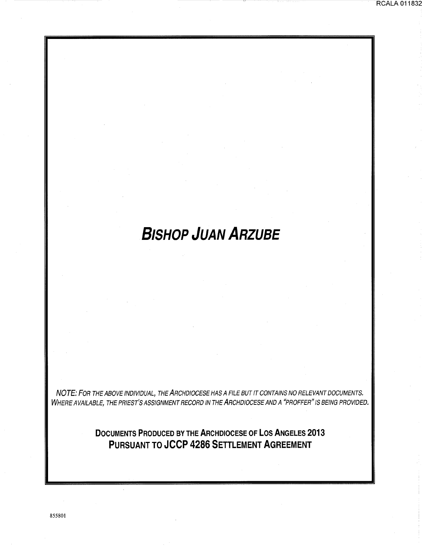# **BISHOP JUAN ARZUBE**

RCALA 011832

NOTE: FOR THE ABOVE INDIVIDUAL, THE ARCHDIOCESE HAS A FILE BUT IT CONTAINS NO RELEVANT DOCUMENTS. WHERE AVAILABLE, THE PRIEST'S ASSIGNMENT RECORD IN THE ARCHDIOCESE AND A "PROFFER" IS BEING PROVIDED.

> **DOCUMENTS PRODUCED BY THE ARCHDIOCESE OF LOS ANGELES 2013 PURSUANT TO JCCP 4286 SETTLEMENT AGREEMENT**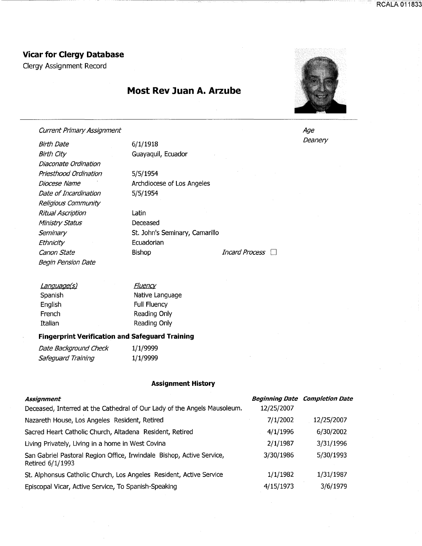## **Vicar for Clergy Database**

Clergy Assignment Record

## **Most Rev Juan A. Arzube**



Current Primary Assignment

Birth Date Birth City Diaconate Ordination Priesthood Ordination Diocese Name Date of Incardination Religious Community Ritual Ascription Ministry Status **Seminary Ethnicity** Begin Pension Date

6/1/1918 Guayaquil, Ecuador

5/5/1954 Archdiocese of Los Angeles 5/5/1954

Latin Deceased St. John's Seminary, Camarillo Ecuadorian Canon State **Bishop** Bishop *Incard Process* 

| <u>Language(s)</u> | <u>Fluency</u>      |
|--------------------|---------------------|
| Spanish            | Native Language     |
| <b>English</b>     | <b>Full Fluency</b> |
| French             | Reading Only        |
| Italian            | Reading Only        |
|                    |                     |

#### **Fingerprint Verification and Safeguard Training**

Date Background Check 1/1/9999 Safeguard Training 1/1/9999

#### **Assignment History**

| <b>Assignment</b>                                                                         |            | <b>Beginning Date Completion Date</b> |
|-------------------------------------------------------------------------------------------|------------|---------------------------------------|
| Deceased, Interred at the Cathedral of Our Lady of the Angels Mausoleum.                  | 12/25/2007 |                                       |
| Nazareth House, Los Angeles Resident, Retired                                             | 7/1/2002   | 12/25/2007                            |
| Sacred Heart Catholic Church, Altadena Resident, Retired                                  | 4/1/1996   | 6/30/2002                             |
| Living Privately, Living in a home in West Covina                                         | 2/1/1987   | 3/31/1996                             |
| San Gabriel Pastoral Region Office, Irwindale Bishop, Active Service,<br>Retired 6/1/1993 | 3/30/1986  | 5/30/1993                             |
| St. Alphonsus Catholic Church, Los Angeles Resident, Active Service                       | 1/1/1982   | 1/31/1987                             |
| Episcopal Vicar, Active Service, To Spanish-Speaking                                      | 4/15/1973  | 3/6/1979                              |

Age Deanery